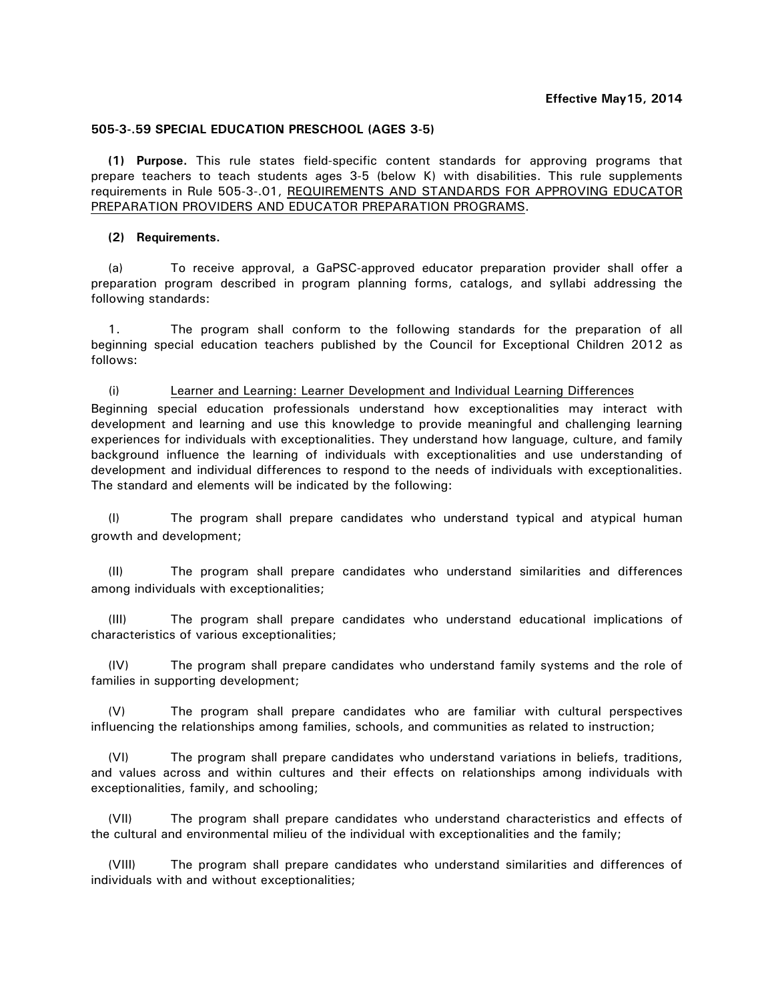# **505-3-.59 SPECIAL EDUCATION PRESCHOOL (AGES 3-5)**

**(1) Purpose.** This rule states field-specific content standards for approving programs that prepare teachers to teach students ages 3-5 (below K) with disabilities. This rule supplements requirements in Rule 505-3-.01, REQUIREMENTS AND STANDARDS FOR APPROVING EDUCATOR PREPARATION PROVIDERS AND EDUCATOR PREPARATION PROGRAMS.

# **(2) Requirements.**

(a) To receive approval, a GaPSC-approved educator preparation provider shall offer a preparation program described in program planning forms, catalogs, and syllabi addressing the following standards:

1. The program shall conform to the following standards for the preparation of all beginning special education teachers published by the Council for Exceptional Children 2012 as follows:

(i) Learner and Learning: Learner Development and Individual Learning Differences Beginning special education professionals understand how exceptionalities may interact with development and learning and use this knowledge to provide meaningful and challenging learning experiences for individuals with exceptionalities. They understand how language, culture, and family background influence the learning of individuals with exceptionalities and use understanding of development and individual differences to respond to the needs of individuals with exceptionalities. The standard and elements will be indicated by the following:

(I) The program shall prepare candidates who understand typical and atypical human growth and development;

(II) The program shall prepare candidates who understand similarities and differences among individuals with exceptionalities;

(III) The program shall prepare candidates who understand educational implications of characteristics of various exceptionalities;

(IV) The program shall prepare candidates who understand family systems and the role of families in supporting development;

(V) The program shall prepare candidates who are familiar with cultural perspectives influencing the relationships among families, schools, and communities as related to instruction;

(VI) The program shall prepare candidates who understand variations in beliefs, traditions, and values across and within cultures and their effects on relationships among individuals with exceptionalities, family, and schooling;

(VII) The program shall prepare candidates who understand characteristics and effects of the cultural and environmental milieu of the individual with exceptionalities and the family;

(VIII) The program shall prepare candidates who understand similarities and differences of individuals with and without exceptionalities;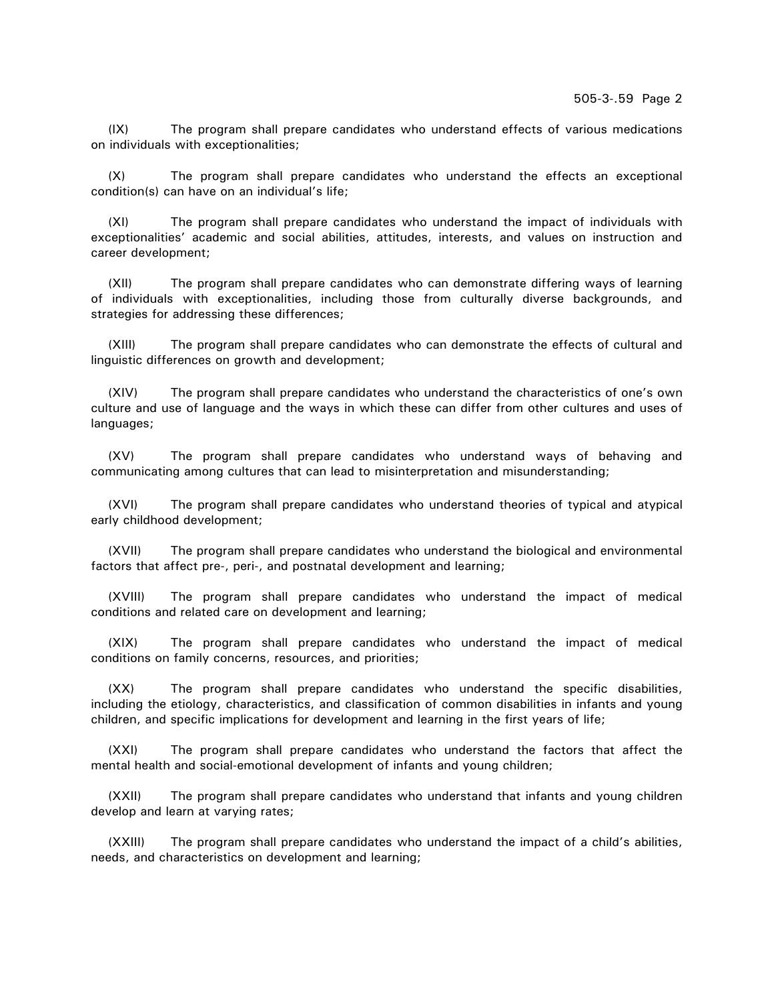(IX) The program shall prepare candidates who understand effects of various medications on individuals with exceptionalities;

(X) The program shall prepare candidates who understand the effects an exceptional condition(s) can have on an individual's life;

(XI) The program shall prepare candidates who understand the impact of individuals with exceptionalities' academic and social abilities, attitudes, interests, and values on instruction and career development;

(XII) The program shall prepare candidates who can demonstrate differing ways of learning of individuals with exceptionalities, including those from culturally diverse backgrounds, and strategies for addressing these differences;

(XIII) The program shall prepare candidates who can demonstrate the effects of cultural and linguistic differences on growth and development;

(XIV) The program shall prepare candidates who understand the characteristics of one's own culture and use of language and the ways in which these can differ from other cultures and uses of languages;

(XV) The program shall prepare candidates who understand ways of behaving and communicating among cultures that can lead to misinterpretation and misunderstanding;

(XVI) The program shall prepare candidates who understand theories of typical and atypical early childhood development;

(XVII) The program shall prepare candidates who understand the biological and environmental factors that affect pre-, peri-, and postnatal development and learning;

(XVIII) The program shall prepare candidates who understand the impact of medical conditions and related care on development and learning;

(XIX) The program shall prepare candidates who understand the impact of medical conditions on family concerns, resources, and priorities;

(XX) The program shall prepare candidates who understand the specific disabilities, including the etiology, characteristics, and classification of common disabilities in infants and young children, and specific implications for development and learning in the first years of life;

(XXI) The program shall prepare candidates who understand the factors that affect the mental health and social-emotional development of infants and young children;

(XXII) The program shall prepare candidates who understand that infants and young children develop and learn at varying rates;

(XXIII) The program shall prepare candidates who understand the impact of a child's abilities, needs, and characteristics on development and learning;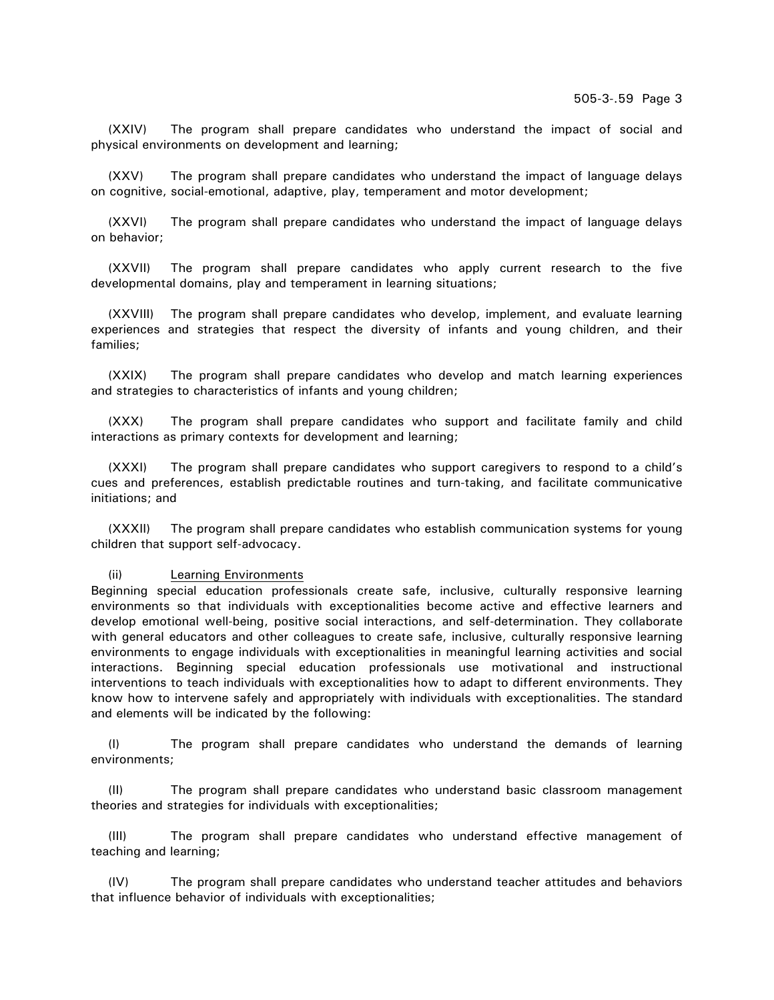(XXIV) The program shall prepare candidates who understand the impact of social and physical environments on development and learning;

(XXV) The program shall prepare candidates who understand the impact of language delays on cognitive, social-emotional, adaptive, play, temperament and motor development;

(XXVI) The program shall prepare candidates who understand the impact of language delays on behavior;

(XXVII) The program shall prepare candidates who apply current research to the five developmental domains, play and temperament in learning situations;

(XXVIII) The program shall prepare candidates who develop, implement, and evaluate learning experiences and strategies that respect the diversity of infants and young children, and their families;

(XXIX) The program shall prepare candidates who develop and match learning experiences and strategies to characteristics of infants and young children;

(XXX) The program shall prepare candidates who support and facilitate family and child interactions as primary contexts for development and learning;

(XXXI) The program shall prepare candidates who support caregivers to respond to a child's cues and preferences, establish predictable routines and turn-taking, and facilitate communicative initiations; and

(XXXII) The program shall prepare candidates who establish communication systems for young children that support self-advocacy.

#### (ii) Learning Environments

Beginning special education professionals create safe, inclusive, culturally responsive learning environments so that individuals with exceptionalities become active and effective learners and develop emotional well-being, positive social interactions, and self-determination. They collaborate with general educators and other colleagues to create safe, inclusive, culturally responsive learning environments to engage individuals with exceptionalities in meaningful learning activities and social interactions. Beginning special education professionals use motivational and instructional interventions to teach individuals with exceptionalities how to adapt to different environments. They know how to intervene safely and appropriately with individuals with exceptionalities. The standard and elements will be indicated by the following:

(I) The program shall prepare candidates who understand the demands of learning environments;

(II) The program shall prepare candidates who understand basic classroom management theories and strategies for individuals with exceptionalities;

(III) The program shall prepare candidates who understand effective management of teaching and learning;

(IV) The program shall prepare candidates who understand teacher attitudes and behaviors that influence behavior of individuals with exceptionalities;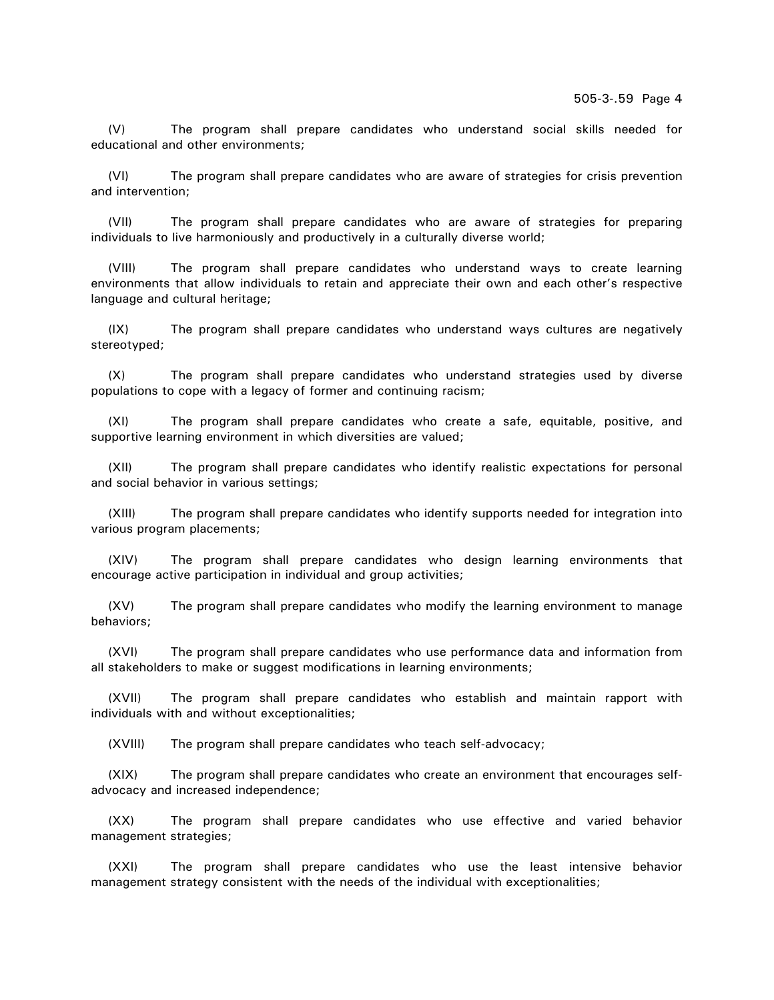(V) The program shall prepare candidates who understand social skills needed for educational and other environments;

(VI) The program shall prepare candidates who are aware of strategies for crisis prevention and intervention;

(VII) The program shall prepare candidates who are aware of strategies for preparing individuals to live harmoniously and productively in a culturally diverse world;

(VIII) The program shall prepare candidates who understand ways to create learning environments that allow individuals to retain and appreciate their own and each other's respective language and cultural heritage;

(IX) The program shall prepare candidates who understand ways cultures are negatively stereotyped;

(X) The program shall prepare candidates who understand strategies used by diverse populations to cope with a legacy of former and continuing racism;

(XI) The program shall prepare candidates who create a safe, equitable, positive, and supportive learning environment in which diversities are valued;

(XII) The program shall prepare candidates who identify realistic expectations for personal and social behavior in various settings;

(XIII) The program shall prepare candidates who identify supports needed for integration into various program placements;

(XIV) The program shall prepare candidates who design learning environments that encourage active participation in individual and group activities;

(XV) The program shall prepare candidates who modify the learning environment to manage behaviors;

(XVI) The program shall prepare candidates who use performance data and information from all stakeholders to make or suggest modifications in learning environments;

(XVII) The program shall prepare candidates who establish and maintain rapport with individuals with and without exceptionalities;

(XVIII) The program shall prepare candidates who teach self-advocacy;

(XIX) The program shall prepare candidates who create an environment that encourages selfadvocacy and increased independence;

(XX) The program shall prepare candidates who use effective and varied behavior management strategies;

(XXI) The program shall prepare candidates who use the least intensive behavior management strategy consistent with the needs of the individual with exceptionalities;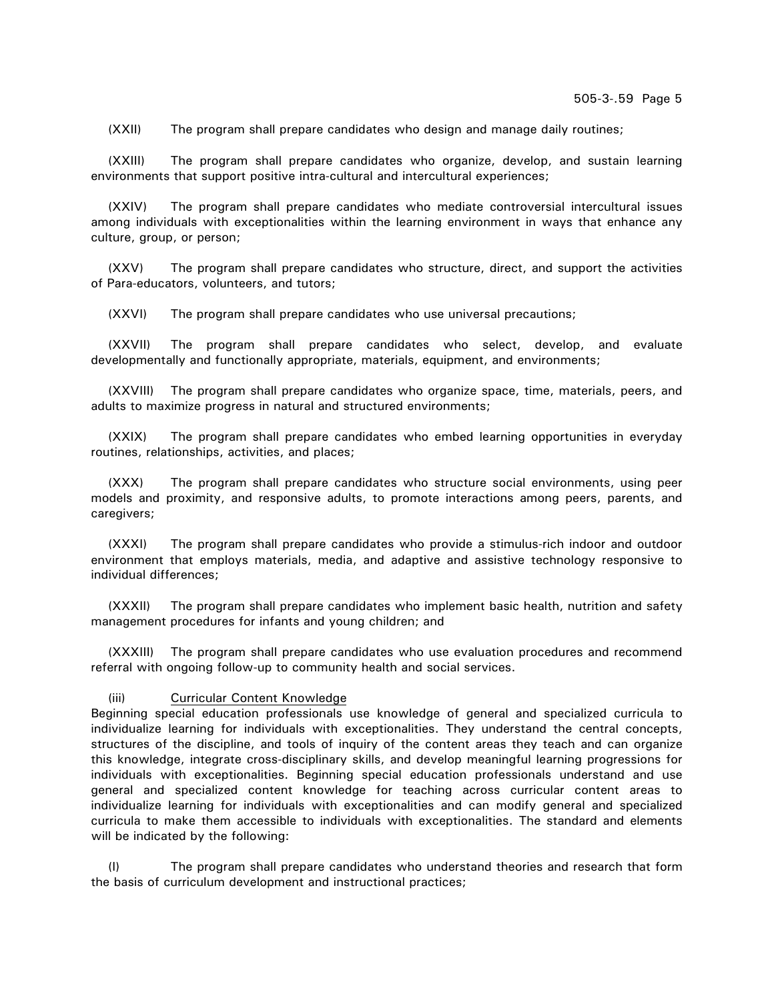(XXII) The program shall prepare candidates who design and manage daily routines;

(XXIII) The program shall prepare candidates who organize, develop, and sustain learning environments that support positive intra-cultural and intercultural experiences;

(XXIV) The program shall prepare candidates who mediate controversial intercultural issues among individuals with exceptionalities within the learning environment in ways that enhance any culture, group, or person;

(XXV) The program shall prepare candidates who structure, direct, and support the activities of Para-educators, volunteers, and tutors;

(XXVI) The program shall prepare candidates who use universal precautions;

(XXVII) The program shall prepare candidates who select, develop, and evaluate developmentally and functionally appropriate, materials, equipment, and environments;

(XXVIII) The program shall prepare candidates who organize space, time, materials, peers, and adults to maximize progress in natural and structured environments;

(XXIX) The program shall prepare candidates who embed learning opportunities in everyday routines, relationships, activities, and places;

(XXX) The program shall prepare candidates who structure social environments, using peer models and proximity, and responsive adults, to promote interactions among peers, parents, and caregivers;

(XXXI) The program shall prepare candidates who provide a stimulus-rich indoor and outdoor environment that employs materials, media, and adaptive and assistive technology responsive to individual differences;

(XXXII) The program shall prepare candidates who implement basic health, nutrition and safety management procedures for infants and young children; and

(XXXIII) The program shall prepare candidates who use evaluation procedures and recommend referral with ongoing follow-up to community health and social services.

#### (iii) Curricular Content Knowledge

Beginning special education professionals use knowledge of general and specialized curricula to individualize learning for individuals with exceptionalities. They understand the central concepts, structures of the discipline, and tools of inquiry of the content areas they teach and can organize this knowledge, integrate cross-disciplinary skills, and develop meaningful learning progressions for individuals with exceptionalities. Beginning special education professionals understand and use general and specialized content knowledge for teaching across curricular content areas to individualize learning for individuals with exceptionalities and can modify general and specialized curricula to make them accessible to individuals with exceptionalities. The standard and elements will be indicated by the following:

(I) The program shall prepare candidates who understand theories and research that form the basis of curriculum development and instructional practices;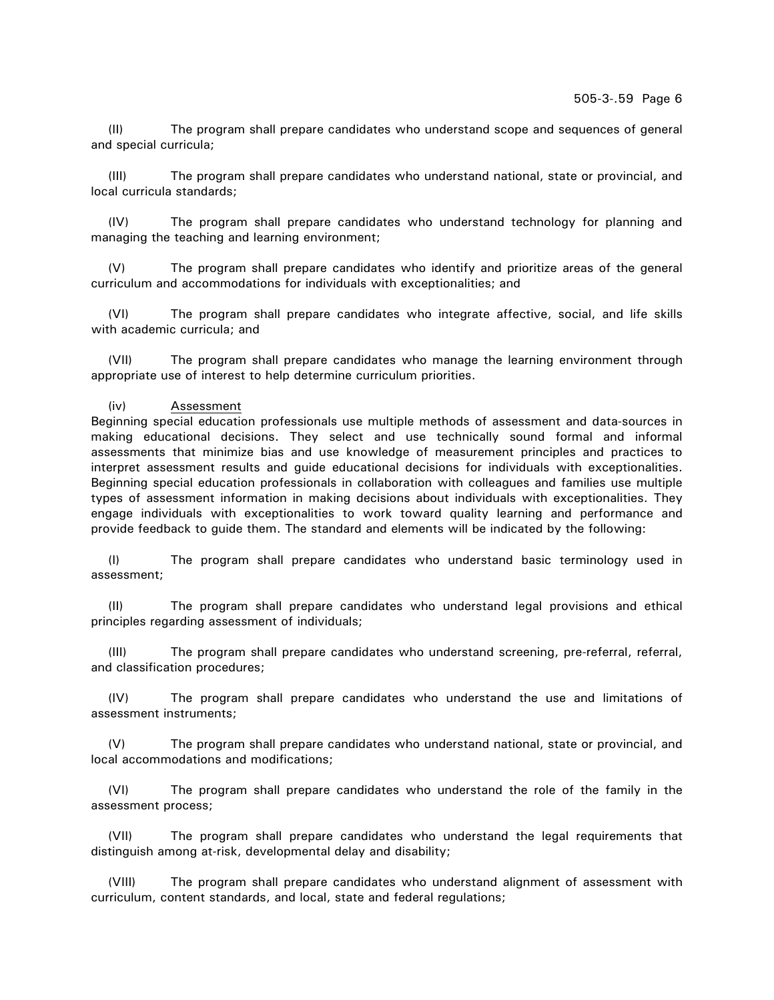(II) The program shall prepare candidates who understand scope and sequences of general and special curricula;

(III) The program shall prepare candidates who understand national, state or provincial, and local curricula standards;

(IV) The program shall prepare candidates who understand technology for planning and managing the teaching and learning environment;

(V) The program shall prepare candidates who identify and prioritize areas of the general curriculum and accommodations for individuals with exceptionalities; and

(VI) The program shall prepare candidates who integrate affective, social, and life skills with academic curricula; and

(VII) The program shall prepare candidates who manage the learning environment through appropriate use of interest to help determine curriculum priorities.

## (iv) Assessment

Beginning special education professionals use multiple methods of assessment and data-sources in making educational decisions. They select and use technically sound formal and informal assessments that minimize bias and use knowledge of measurement principles and practices to interpret assessment results and guide educational decisions for individuals with exceptionalities. Beginning special education professionals in collaboration with colleagues and families use multiple types of assessment information in making decisions about individuals with exceptionalities. They engage individuals with exceptionalities to work toward quality learning and performance and provide feedback to guide them. The standard and elements will be indicated by the following:

(I) The program shall prepare candidates who understand basic terminology used in assessment;

(II) The program shall prepare candidates who understand legal provisions and ethical principles regarding assessment of individuals;

(III) The program shall prepare candidates who understand screening, pre-referral, referral, and classification procedures;

(IV) The program shall prepare candidates who understand the use and limitations of assessment instruments;

(V) The program shall prepare candidates who understand national, state or provincial, and local accommodations and modifications;

(VI) The program shall prepare candidates who understand the role of the family in the assessment process;

(VII) The program shall prepare candidates who understand the legal requirements that distinguish among at-risk, developmental delay and disability;

(VIII) The program shall prepare candidates who understand alignment of assessment with curriculum, content standards, and local, state and federal regulations;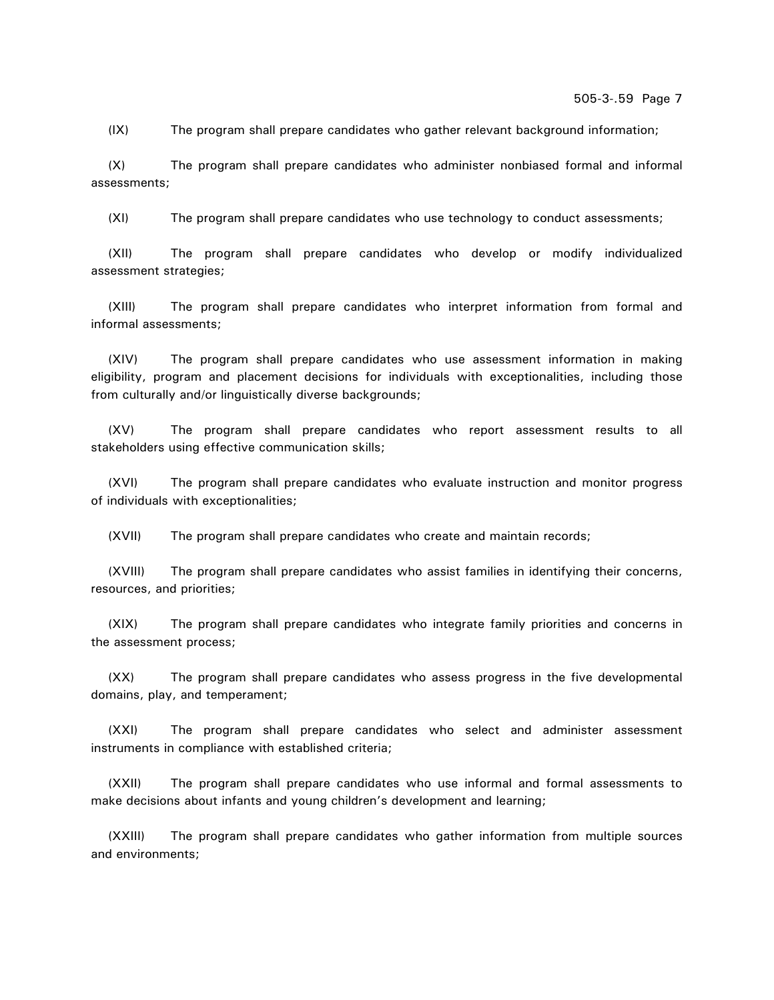505-3-.59 Page 7

(IX) The program shall prepare candidates who gather relevant background information;

(X) The program shall prepare candidates who administer nonbiased formal and informal assessments;

(XI) The program shall prepare candidates who use technology to conduct assessments;

(XII) The program shall prepare candidates who develop or modify individualized assessment strategies;

(XIII) The program shall prepare candidates who interpret information from formal and informal assessments;

(XIV) The program shall prepare candidates who use assessment information in making eligibility, program and placement decisions for individuals with exceptionalities, including those from culturally and/or linguistically diverse backgrounds;

(XV) The program shall prepare candidates who report assessment results to all stakeholders using effective communication skills;

(XVI) The program shall prepare candidates who evaluate instruction and monitor progress of individuals with exceptionalities;

(XVII) The program shall prepare candidates who create and maintain records;

(XVIII) The program shall prepare candidates who assist families in identifying their concerns, resources, and priorities;

(XIX) The program shall prepare candidates who integrate family priorities and concerns in the assessment process;

(XX) The program shall prepare candidates who assess progress in the five developmental domains, play, and temperament;

(XXI) The program shall prepare candidates who select and administer assessment instruments in compliance with established criteria;

(XXII) The program shall prepare candidates who use informal and formal assessments to make decisions about infants and young children's development and learning;

(XXIII) The program shall prepare candidates who gather information from multiple sources and environments;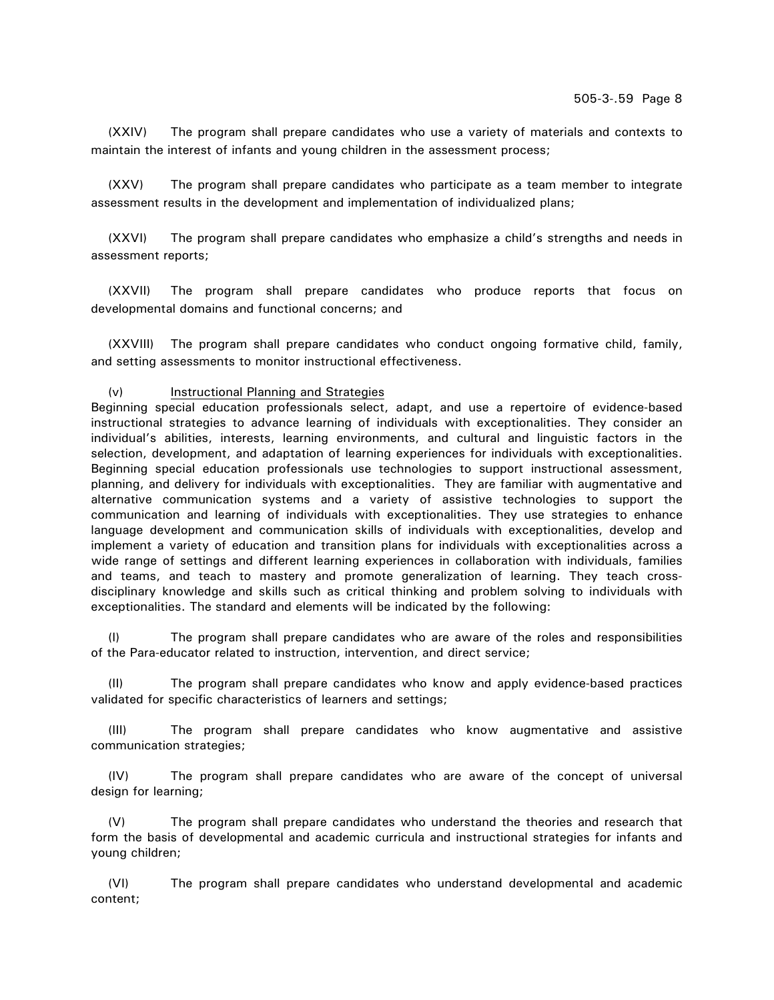(XXIV) The program shall prepare candidates who use a variety of materials and contexts to maintain the interest of infants and young children in the assessment process;

(XXV) The program shall prepare candidates who participate as a team member to integrate assessment results in the development and implementation of individualized plans;

(XXVI) The program shall prepare candidates who emphasize a child's strengths and needs in assessment reports;

(XXVII) The program shall prepare candidates who produce reports that focus on developmental domains and functional concerns; and

(XXVIII) The program shall prepare candidates who conduct ongoing formative child, family, and setting assessments to monitor instructional effectiveness.

### (v) Instructional Planning and Strategies

Beginning special education professionals select, adapt, and use a repertoire of evidence-based instructional strategies to advance learning of individuals with exceptionalities. They consider an individual's abilities, interests, learning environments, and cultural and linguistic factors in the selection, development, and adaptation of learning experiences for individuals with exceptionalities. Beginning special education professionals use technologies to support instructional assessment, planning, and delivery for individuals with exceptionalities. They are familiar with augmentative and alternative communication systems and a variety of assistive technologies to support the communication and learning of individuals with exceptionalities. They use strategies to enhance language development and communication skills of individuals with exceptionalities, develop and implement a variety of education and transition plans for individuals with exceptionalities across a wide range of settings and different learning experiences in collaboration with individuals, families and teams, and teach to mastery and promote generalization of learning. They teach crossdisciplinary knowledge and skills such as critical thinking and problem solving to individuals with exceptionalities. The standard and elements will be indicated by the following:

(I) The program shall prepare candidates who are aware of the roles and responsibilities of the Para-educator related to instruction, intervention, and direct service;

(II) The program shall prepare candidates who know and apply evidence-based practices validated for specific characteristics of learners and settings;

(III) The program shall prepare candidates who know augmentative and assistive communication strategies;

(IV) The program shall prepare candidates who are aware of the concept of universal design for learning;

(V) The program shall prepare candidates who understand the theories and research that form the basis of developmental and academic curricula and instructional strategies for infants and young children;

(VI) The program shall prepare candidates who understand developmental and academic content;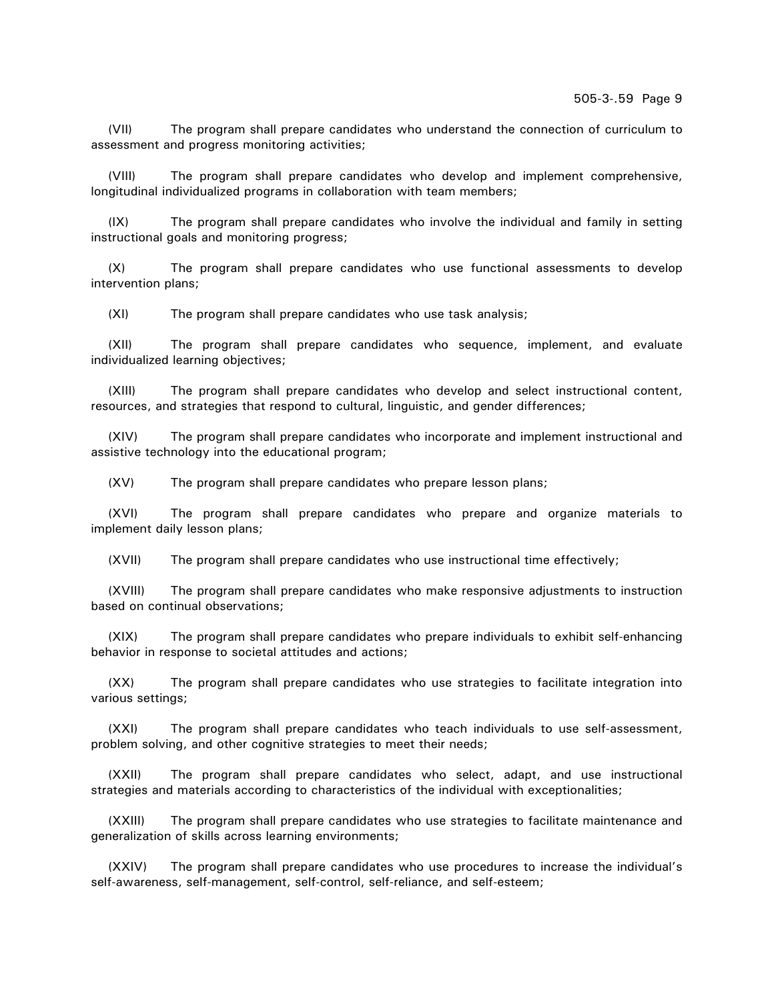(VII) The program shall prepare candidates who understand the connection of curriculum to assessment and progress monitoring activities;

(VIII) The program shall prepare candidates who develop and implement comprehensive, longitudinal individualized programs in collaboration with team members;

(IX) The program shall prepare candidates who involve the individual and family in setting instructional goals and monitoring progress;

(X) The program shall prepare candidates who use functional assessments to develop intervention plans;

(XI) The program shall prepare candidates who use task analysis;

(XII) The program shall prepare candidates who sequence, implement, and evaluate individualized learning objectives;

(XIII) The program shall prepare candidates who develop and select instructional content, resources, and strategies that respond to cultural, linguistic, and gender differences;

(XIV) The program shall prepare candidates who incorporate and implement instructional and assistive technology into the educational program;

(XV) The program shall prepare candidates who prepare lesson plans;

(XVI) The program shall prepare candidates who prepare and organize materials to implement daily lesson plans;

(XVII) The program shall prepare candidates who use instructional time effectively;

(XVIII) The program shall prepare candidates who make responsive adjustments to instruction based on continual observations;

(XIX) The program shall prepare candidates who prepare individuals to exhibit self-enhancing behavior in response to societal attitudes and actions;

(XX) The program shall prepare candidates who use strategies to facilitate integration into various settings;

(XXI) The program shall prepare candidates who teach individuals to use self-assessment, problem solving, and other cognitive strategies to meet their needs;

(XXII) The program shall prepare candidates who select, adapt, and use instructional strategies and materials according to characteristics of the individual with exceptionalities;

(XXIII) The program shall prepare candidates who use strategies to facilitate maintenance and generalization of skills across learning environments;

(XXIV) The program shall prepare candidates who use procedures to increase the individual's self-awareness, self-management, self-control, self-reliance, and self-esteem;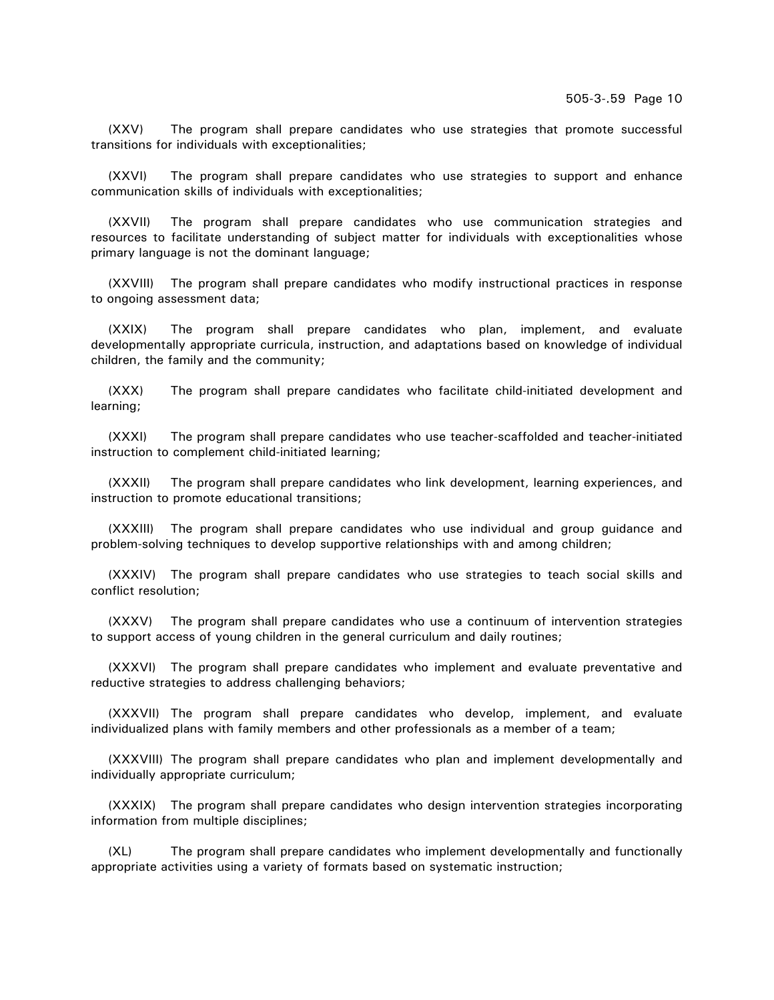(XXV) The program shall prepare candidates who use strategies that promote successful transitions for individuals with exceptionalities;

(XXVI) The program shall prepare candidates who use strategies to support and enhance communication skills of individuals with exceptionalities;

(XXVII) The program shall prepare candidates who use communication strategies and resources to facilitate understanding of subject matter for individuals with exceptionalities whose primary language is not the dominant language;

(XXVIII) The program shall prepare candidates who modify instructional practices in response to ongoing assessment data;

(XXIX) The program shall prepare candidates who plan, implement, and evaluate developmentally appropriate curricula, instruction, and adaptations based on knowledge of individual children, the family and the community;

(XXX) The program shall prepare candidates who facilitate child-initiated development and learning;

(XXXI) The program shall prepare candidates who use teacher-scaffolded and teacher-initiated instruction to complement child-initiated learning;

(XXXII) The program shall prepare candidates who link development, learning experiences, and instruction to promote educational transitions;

(XXXIII) The program shall prepare candidates who use individual and group guidance and problem-solving techniques to develop supportive relationships with and among children;

(XXXIV) The program shall prepare candidates who use strategies to teach social skills and conflict resolution;

(XXXV) The program shall prepare candidates who use a continuum of intervention strategies to support access of young children in the general curriculum and daily routines;

(XXXVI) The program shall prepare candidates who implement and evaluate preventative and reductive strategies to address challenging behaviors;

(XXXVII) The program shall prepare candidates who develop, implement, and evaluate individualized plans with family members and other professionals as a member of a team;

(XXXVIII) The program shall prepare candidates who plan and implement developmentally and individually appropriate curriculum;

(XXXIX) The program shall prepare candidates who design intervention strategies incorporating information from multiple disciplines;

(XL) The program shall prepare candidates who implement developmentally and functionally appropriate activities using a variety of formats based on systematic instruction;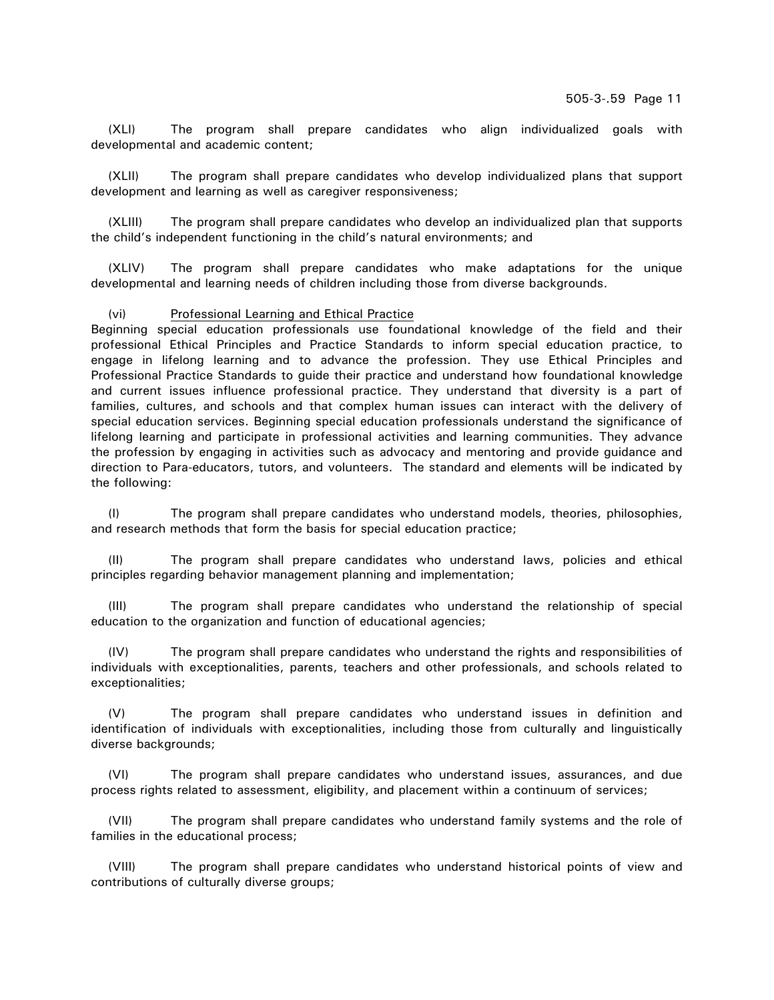(XLI) The program shall prepare candidates who align individualized goals with developmental and academic content;

(XLII) The program shall prepare candidates who develop individualized plans that support development and learning as well as caregiver responsiveness;

(XLIII) The program shall prepare candidates who develop an individualized plan that supports the child's independent functioning in the child's natural environments; and

(XLIV) The program shall prepare candidates who make adaptations for the unique developmental and learning needs of children including those from diverse backgrounds.

## (vi) Professional Learning and Ethical Practice

Beginning special education professionals use foundational knowledge of the field and their professional Ethical Principles and Practice Standards to inform special education practice, to engage in lifelong learning and to advance the profession. They use Ethical Principles and Professional Practice Standards to guide their practice and understand how foundational knowledge and current issues influence professional practice. They understand that diversity is a part of families, cultures, and schools and that complex human issues can interact with the delivery of special education services. Beginning special education professionals understand the significance of lifelong learning and participate in professional activities and learning communities. They advance the profession by engaging in activities such as advocacy and mentoring and provide guidance and direction to Para-educators, tutors, and volunteers. The standard and elements will be indicated by the following:

(I) The program shall prepare candidates who understand models, theories, philosophies, and research methods that form the basis for special education practice;

(II) The program shall prepare candidates who understand laws, policies and ethical principles regarding behavior management planning and implementation;

(III) The program shall prepare candidates who understand the relationship of special education to the organization and function of educational agencies;

(IV) The program shall prepare candidates who understand the rights and responsibilities of individuals with exceptionalities, parents, teachers and other professionals, and schools related to exceptionalities;

(V) The program shall prepare candidates who understand issues in definition and identification of individuals with exceptionalities, including those from culturally and linguistically diverse backgrounds;

(VI) The program shall prepare candidates who understand issues, assurances, and due process rights related to assessment, eligibility, and placement within a continuum of services;

(VII) The program shall prepare candidates who understand family systems and the role of families in the educational process;

(VIII) The program shall prepare candidates who understand historical points of view and contributions of culturally diverse groups;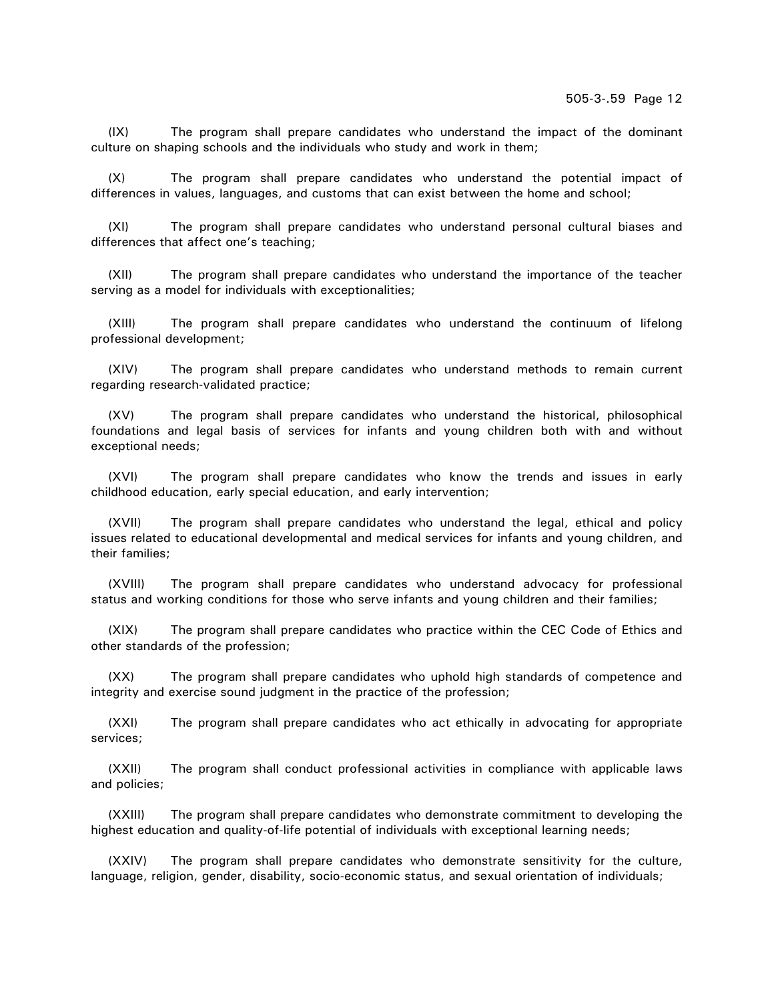(IX) The program shall prepare candidates who understand the impact of the dominant culture on shaping schools and the individuals who study and work in them;

(X) The program shall prepare candidates who understand the potential impact of differences in values, languages, and customs that can exist between the home and school;

(XI) The program shall prepare candidates who understand personal cultural biases and differences that affect one's teaching;

(XII) The program shall prepare candidates who understand the importance of the teacher serving as a model for individuals with exceptionalities;

(XIII) The program shall prepare candidates who understand the continuum of lifelong professional development;

(XIV) The program shall prepare candidates who understand methods to remain current regarding research-validated practice;

(XV) The program shall prepare candidates who understand the historical, philosophical foundations and legal basis of services for infants and young children both with and without exceptional needs;

(XVI) The program shall prepare candidates who know the trends and issues in early childhood education, early special education, and early intervention;

(XVII) The program shall prepare candidates who understand the legal, ethical and policy issues related to educational developmental and medical services for infants and young children, and their families;

(XVIII) The program shall prepare candidates who understand advocacy for professional status and working conditions for those who serve infants and young children and their families;

(XIX) The program shall prepare candidates who practice within the CEC Code of Ethics and other standards of the profession;

(XX) The program shall prepare candidates who uphold high standards of competence and integrity and exercise sound judgment in the practice of the profession;

(XXI) The program shall prepare candidates who act ethically in advocating for appropriate services;

(XXII) The program shall conduct professional activities in compliance with applicable laws and policies;

(XXIII) The program shall prepare candidates who demonstrate commitment to developing the highest education and quality-of-life potential of individuals with exceptional learning needs;

(XXIV) The program shall prepare candidates who demonstrate sensitivity for the culture, language, religion, gender, disability, socio-economic status, and sexual orientation of individuals;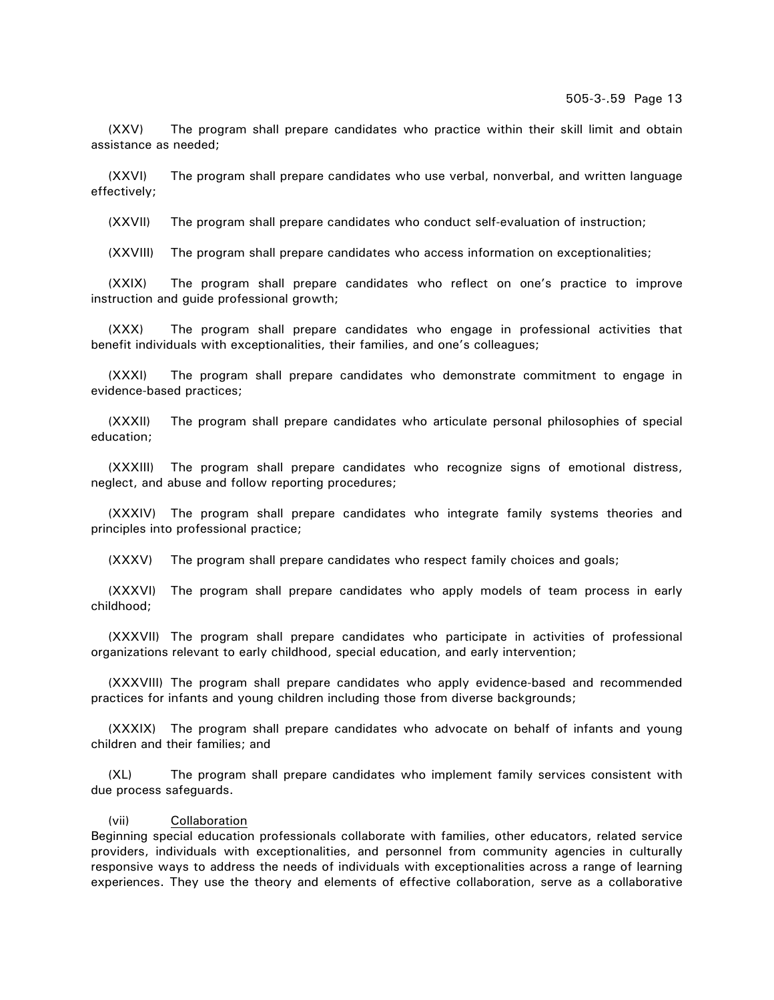(XXV) The program shall prepare candidates who practice within their skill limit and obtain assistance as needed;

(XXVI) The program shall prepare candidates who use verbal, nonverbal, and written language effectively;

(XXVII) The program shall prepare candidates who conduct self-evaluation of instruction;

(XXVIII) The program shall prepare candidates who access information on exceptionalities;

(XXIX) The program shall prepare candidates who reflect on one's practice to improve instruction and guide professional growth;

(XXX) The program shall prepare candidates who engage in professional activities that benefit individuals with exceptionalities, their families, and one's colleagues;

(XXXI) The program shall prepare candidates who demonstrate commitment to engage in evidence-based practices;

(XXXII) The program shall prepare candidates who articulate personal philosophies of special education;

(XXXIII) The program shall prepare candidates who recognize signs of emotional distress, neglect, and abuse and follow reporting procedures;

(XXXIV) The program shall prepare candidates who integrate family systems theories and principles into professional practice;

(XXXV) The program shall prepare candidates who respect family choices and goals;

(XXXVI) The program shall prepare candidates who apply models of team process in early childhood;

(XXXVII) The program shall prepare candidates who participate in activities of professional organizations relevant to early childhood, special education, and early intervention;

(XXXVIII) The program shall prepare candidates who apply evidence-based and recommended practices for infants and young children including those from diverse backgrounds;

(XXXIX) The program shall prepare candidates who advocate on behalf of infants and young children and their families; and

(XL) The program shall prepare candidates who implement family services consistent with due process safeguards.

## (vii) Collaboration

Beginning special education professionals collaborate with families, other educators, related service providers, individuals with exceptionalities, and personnel from community agencies in culturally responsive ways to address the needs of individuals with exceptionalities across a range of learning experiences. They use the theory and elements of effective collaboration, serve as a collaborative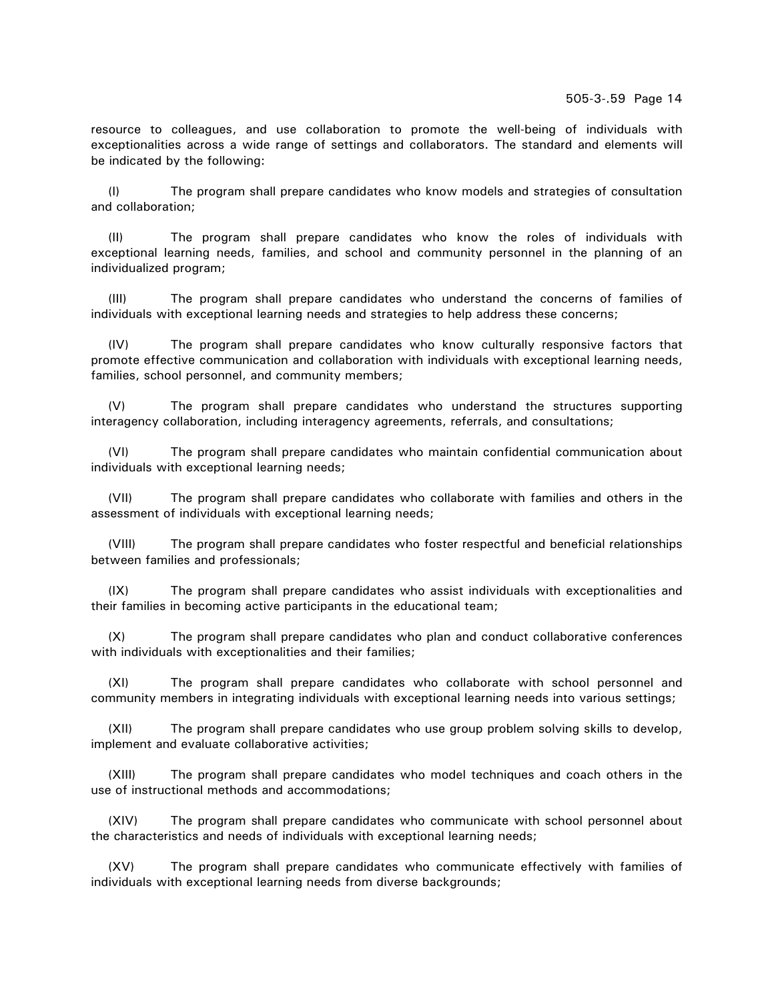resource to colleagues, and use collaboration to promote the well-being of individuals with exceptionalities across a wide range of settings and collaborators. The standard and elements will be indicated by the following:

(I) The program shall prepare candidates who know models and strategies of consultation and collaboration;

(II) The program shall prepare candidates who know the roles of individuals with exceptional learning needs, families, and school and community personnel in the planning of an individualized program;

(III) The program shall prepare candidates who understand the concerns of families of individuals with exceptional learning needs and strategies to help address these concerns;

(IV) The program shall prepare candidates who know culturally responsive factors that promote effective communication and collaboration with individuals with exceptional learning needs, families, school personnel, and community members;

(V) The program shall prepare candidates who understand the structures supporting interagency collaboration, including interagency agreements, referrals, and consultations;

(VI) The program shall prepare candidates who maintain confidential communication about individuals with exceptional learning needs;

(VII) The program shall prepare candidates who collaborate with families and others in the assessment of individuals with exceptional learning needs;

(VIII) The program shall prepare candidates who foster respectful and beneficial relationships between families and professionals;

(IX) The program shall prepare candidates who assist individuals with exceptionalities and their families in becoming active participants in the educational team;

(X) The program shall prepare candidates who plan and conduct collaborative conferences with individuals with exceptionalities and their families;

(XI) The program shall prepare candidates who collaborate with school personnel and community members in integrating individuals with exceptional learning needs into various settings;

(XII) The program shall prepare candidates who use group problem solving skills to develop, implement and evaluate collaborative activities;

(XIII) The program shall prepare candidates who model techniques and coach others in the use of instructional methods and accommodations;

(XIV) The program shall prepare candidates who communicate with school personnel about the characteristics and needs of individuals with exceptional learning needs;

(XV) The program shall prepare candidates who communicate effectively with families of individuals with exceptional learning needs from diverse backgrounds;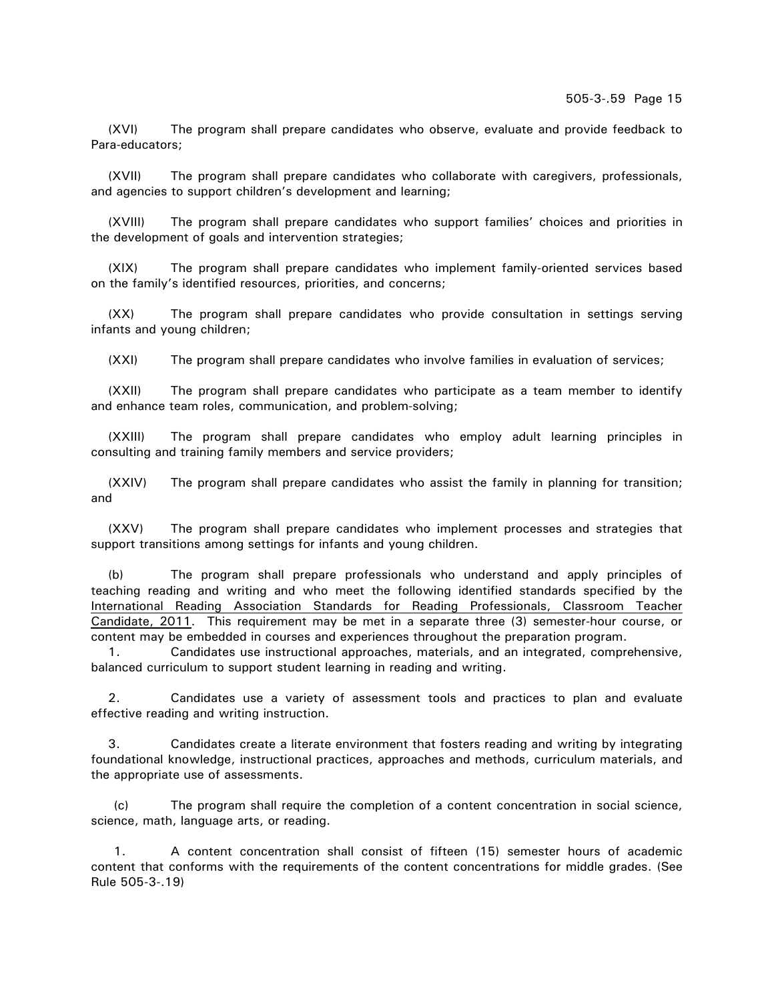(XVI) The program shall prepare candidates who observe, evaluate and provide feedback to Para-educators;

(XVII) The program shall prepare candidates who collaborate with caregivers, professionals, and agencies to support children's development and learning;

(XVIII) The program shall prepare candidates who support families' choices and priorities in the development of goals and intervention strategies;

(XIX) The program shall prepare candidates who implement family-oriented services based on the family's identified resources, priorities, and concerns;

(XX) The program shall prepare candidates who provide consultation in settings serving infants and young children;

(XXI) The program shall prepare candidates who involve families in evaluation of services;

(XXII) The program shall prepare candidates who participate as a team member to identify and enhance team roles, communication, and problem-solving;

(XXIII) The program shall prepare candidates who employ adult learning principles in consulting and training family members and service providers;

(XXIV) The program shall prepare candidates who assist the family in planning for transition; and

(XXV) The program shall prepare candidates who implement processes and strategies that support transitions among settings for infants and young children.

(b) The program shall prepare professionals who understand and apply principles of teaching reading and writing and who meet the following identified standards specified by the International Reading Association Standards for Reading Professionals, Classroom Teacher Candidate, 2011. This requirement may be met in a separate three (3) semester-hour course, or content may be embedded in courses and experiences throughout the preparation program.

1. Candidates use instructional approaches, materials, and an integrated, comprehensive, balanced curriculum to support student learning in reading and writing.

2. Candidates use a variety of assessment tools and practices to plan and evaluate effective reading and writing instruction.

3. Candidates create a literate environment that fosters reading and writing by integrating foundational knowledge, instructional practices, approaches and methods, curriculum materials, and the appropriate use of assessments.

(c) The program shall require the completion of a content concentration in social science, science, math, language arts, or reading.

1. A content concentration shall consist of fifteen (15) semester hours of academic content that conforms with the requirements of the content concentrations for middle grades. (See Rule 505-3-.19)